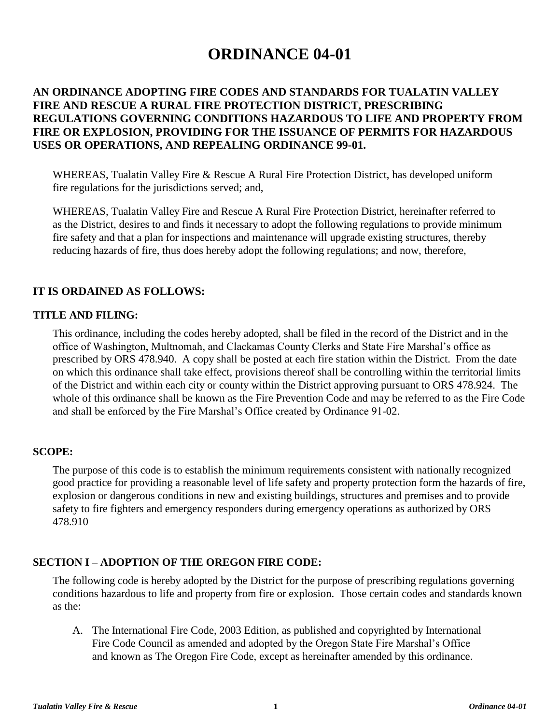# **ORDINANCE 04-01**

## **AN ORDINANCE ADOPTING FIRE CODES AND STANDARDS FOR TUALATIN VALLEY FIRE AND RESCUE A RURAL FIRE PROTECTION DISTRICT, PRESCRIBING REGULATIONS GOVERNING CONDITIONS HAZARDOUS TO LIFE AND PROPERTY FROM FIRE OR EXPLOSION, PROVIDING FOR THE ISSUANCE OF PERMITS FOR HAZARDOUS USES OR OPERATIONS, AND REPEALING ORDINANCE 99-01.**

WHEREAS, Tualatin Valley Fire & Rescue A Rural Fire Protection District, has developed uniform fire regulations for the jurisdictions served; and,

WHEREAS, Tualatin Valley Fire and Rescue A Rural Fire Protection District, hereinafter referred to as the District, desires to and finds it necessary to adopt the following regulations to provide minimum fire safety and that a plan for inspections and maintenance will upgrade existing structures, thereby reducing hazards of fire, thus does hereby adopt the following regulations; and now, therefore,

## **IT IS ORDAINED AS FOLLOWS:**

#### **TITLE AND FILING:**

This ordinance, including the codes hereby adopted, shall be filed in the record of the District and in the office of Washington, Multnomah, and Clackamas County Clerks and State Fire Marshal's office as prescribed by ORS 478.940. A copy shall be posted at each fire station within the District. From the date on which this ordinance shall take effect, provisions thereof shall be controlling within the territorial limits of the District and within each city or county within the District approving pursuant to ORS 478.924. The whole of this ordinance shall be known as the Fire Prevention Code and may be referred to as the Fire Code and shall be enforced by the Fire Marshal's Office created by Ordinance 91-02.

#### **SCOPE:**

The purpose of this code is to establish the minimum requirements consistent with nationally recognized good practice for providing a reasonable level of life safety and property protection form the hazards of fire, explosion or dangerous conditions in new and existing buildings, structures and premises and to provide safety to fire fighters and emergency responders during emergency operations as authorized by ORS 478.910

#### **SECTION I – ADOPTION OF THE OREGON FIRE CODE:**

The following code is hereby adopted by the District for the purpose of prescribing regulations governing conditions hazardous to life and property from fire or explosion. Those certain codes and standards known as the:

A. The International Fire Code, 2003 Edition, as published and copyrighted by International Fire Code Council as amended and adopted by the Oregon State Fire Marshal's Office and known as The Oregon Fire Code, except as hereinafter amended by this ordinance.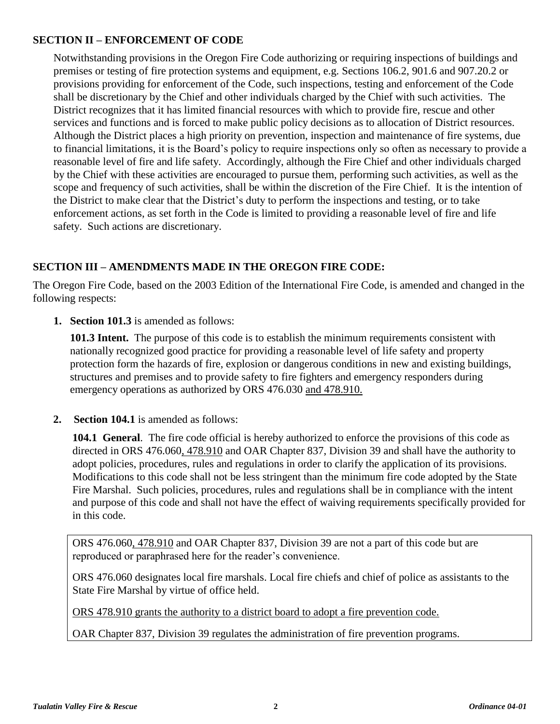## **SECTION II – ENFORCEMENT OF CODE**

Notwithstanding provisions in the Oregon Fire Code authorizing or requiring inspections of buildings and premises or testing of fire protection systems and equipment, e.g. Sections 106.2, 901.6 and 907.20.2 or provisions providing for enforcement of the Code, such inspections, testing and enforcement of the Code shall be discretionary by the Chief and other individuals charged by the Chief with such activities. The District recognizes that it has limited financial resources with which to provide fire, rescue and other services and functions and is forced to make public policy decisions as to allocation of District resources. Although the District places a high priority on prevention, inspection and maintenance of fire systems, due to financial limitations, it is the Board's policy to require inspections only so often as necessary to provide a reasonable level of fire and life safety. Accordingly, although the Fire Chief and other individuals charged by the Chief with these activities are encouraged to pursue them, performing such activities, as well as the scope and frequency of such activities, shall be within the discretion of the Fire Chief. It is the intention of the District to make clear that the District's duty to perform the inspections and testing, or to take enforcement actions, as set forth in the Code is limited to providing a reasonable level of fire and life safety. Such actions are discretionary.

# **SECTION III – AMENDMENTS MADE IN THE OREGON FIRE CODE:**

The Oregon Fire Code, based on the 2003 Edition of the International Fire Code, is amended and changed in the following respects:

**1. Section 101.3** is amended as follows:

**101.3 Intent.** The purpose of this code is to establish the minimum requirements consistent with nationally recognized good practice for providing a reasonable level of life safety and property protection form the hazards of fire, explosion or dangerous conditions in new and existing buildings, structures and premises and to provide safety to fire fighters and emergency responders during emergency operations as authorized by ORS 476.030 and 478.910.

**2. Section 104.1** is amended as follows:

**104.1 General**. The fire code official is hereby authorized to enforce the provisions of this code as directed in ORS 476.060, 478.910 and OAR Chapter 837, Division 39 and shall have the authority to adopt policies, procedures, rules and regulations in order to clarify the application of its provisions. Modifications to this code shall not be less stringent than the minimum fire code adopted by the State Fire Marshal. Such policies, procedures, rules and regulations shall be in compliance with the intent and purpose of this code and shall not have the effect of waiving requirements specifically provided for in this code.

ORS 476.060, 478.910 and OAR Chapter 837, Division 39 are not a part of this code but are reproduced or paraphrased here for the reader's convenience.

ORS 476.060 designates local fire marshals. Local fire chiefs and chief of police as assistants to the State Fire Marshal by virtue of office held.

ORS 478.910 grants the authority to a district board to adopt a fire prevention code.

OAR Chapter 837, Division 39 regulates the administration of fire prevention programs.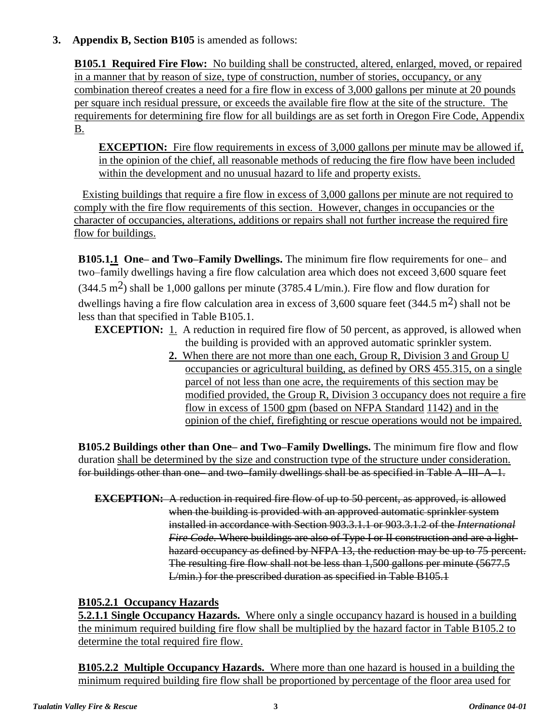## **3. Appendix B, Section B105** is amended as follows:

**B105.1 Required Fire Flow:** No building shall be constructed, altered, enlarged, moved, or repaired in a manner that by reason of size, type of construction, number of stories, occupancy, or any combination thereof creates a need for a fire flow in excess of 3,000 gallons per minute at 20 pounds per square inch residual pressure, or exceeds the available fire flow at the site of the structure. The requirements for determining fire flow for all buildings are as set forth in Oregon Fire Code, Appendix B.

**EXCEPTION:** Fire flow requirements in excess of 3,000 gallons per minute may be allowed if, in the opinion of the chief, all reasonable methods of reducing the fire flow have been included within the development and no unusual hazard to life and property exists.

Existing buildings that require a fire flow in excess of 3,000 gallons per minute are not required to comply with the fire flow requirements of this section. However, changes in occupancies or the character of occupancies, alterations, additions or repairs shall not further increase the required fire flow for buildings.

**B105.1.1 One– and Two–Family Dwellings.** The minimum fire flow requirements for one– and two–family dwellings having a fire flow calculation area which does not exceed 3,600 square feet  $(344.5 \text{ m}^2)$  shall be 1,000 gallons per minute (3785.4 L/min.). Fire flow and flow duration for dwellings having a fire flow calculation area in excess of 3,600 square feet (344.5 m<sup>2</sup>) shall not be less than that specified in Table B105.1.

**EXCEPTION:** 1. A reduction in required fire flow of 50 percent, as approved, is allowed when the building is provided with an approved automatic sprinkler system.

> **2.** When there are not more than one each, Group R, Division 3 and Group U occupancies or agricultural building, as defined by ORS 455.315, on a single parcel of not less than one acre, the requirements of this section may be modified provided, the Group R, Division 3 occupancy does not require a fire flow in excess of 1500 gpm (based on NFPA Standard 1142) and in the opinion of the chief, firefighting or rescue operations would not be impaired.

**B105.2 Buildings other than One– and Two–Family Dwellings.** The minimum fire flow and flow duration shall be determined by the size and construction type of the structure under consideration. for buildings other than one– and two–family dwellings shall be as specified in Table A–III–A–1.

**EXCEPTION:** A reduction in required fire flow of up to 50 percent, as approved, is allowed when the building is provided with an approved automatic sprinkler system installed in accordance with Section 903.3.1.1 or 903.3.1.2 of the *International Fire Code*. Where buildings are also of Type I or II construction and are a lighthazard occupancy as defined by NFPA 13, the reduction may be up to 75 percent. The resulting fire flow shall not be less than 1,500 gallons per minute (5677.5 L/min.) for the prescribed duration as specified in Table B105.1

# **B105.2.1 Occupancy Hazards**

**5.2.1.1 Single Occupancy Hazards.** Where only a single occupancy hazard is housed in a building the minimum required building fire flow shall be multiplied by the hazard factor in Table B105.2 to determine the total required fire flow.

**B105.2.2 Multiple Occupancy Hazards.** Where more than one hazard is housed in a building the minimum required building fire flow shall be proportioned by percentage of the floor area used for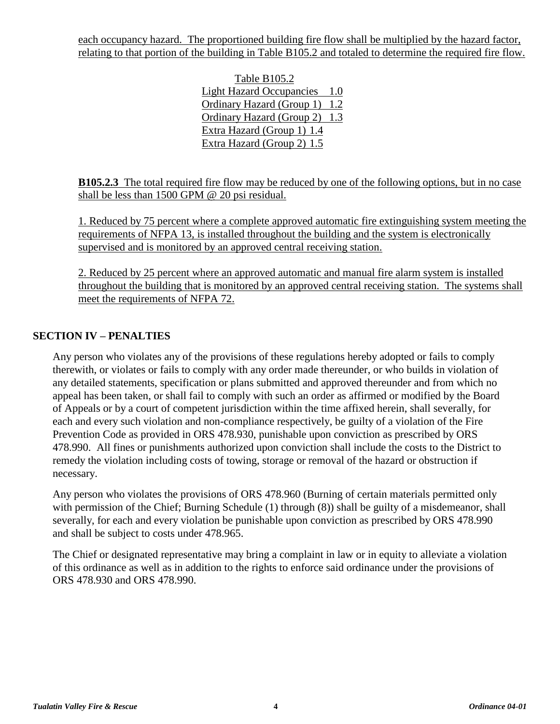each occupancy hazard. The proportioned building fire flow shall be multiplied by the hazard factor, relating to that portion of the building in Table B105.2 and totaled to determine the required fire flow.

> Table B105.2 Light Hazard Occupancies 1.0 Ordinary Hazard (Group 1) 1.2 Ordinary Hazard (Group 2) 1.3 Extra Hazard (Group 1) 1.4 Extra Hazard (Group 2) 1.5

**B105.2.3** The total required fire flow may be reduced by one of the following options, but in no case shall be less than 1500 GPM @ 20 psi residual.

1. Reduced by 75 percent where a complete approved automatic fire extinguishing system meeting the requirements of NFPA 13, is installed throughout the building and the system is electronically supervised and is monitored by an approved central receiving station.

2. Reduced by 25 percent where an approved automatic and manual fire alarm system is installed throughout the building that is monitored by an approved central receiving station. The systems shall meet the requirements of NFPA 72.

## **SECTION IV – PENALTIES**

Any person who violates any of the provisions of these regulations hereby adopted or fails to comply therewith, or violates or fails to comply with any order made thereunder, or who builds in violation of any detailed statements, specification or plans submitted and approved thereunder and from which no appeal has been taken, or shall fail to comply with such an order as affirmed or modified by the Board of Appeals or by a court of competent jurisdiction within the time affixed herein, shall severally, for each and every such violation and non-compliance respectively, be guilty of a violation of the Fire Prevention Code as provided in ORS 478.930, punishable upon conviction as prescribed by ORS 478.990. All fines or punishments authorized upon conviction shall include the costs to the District to remedy the violation including costs of towing, storage or removal of the hazard or obstruction if necessary.

Any person who violates the provisions of ORS 478.960 (Burning of certain materials permitted only with permission of the Chief; Burning Schedule (1) through (8)) shall be guilty of a misdemeanor, shall severally, for each and every violation be punishable upon conviction as prescribed by ORS 478.990 and shall be subject to costs under 478.965.

The Chief or designated representative may bring a complaint in law or in equity to alleviate a violation of this ordinance as well as in addition to the rights to enforce said ordinance under the provisions of ORS 478.930 and ORS 478.990.